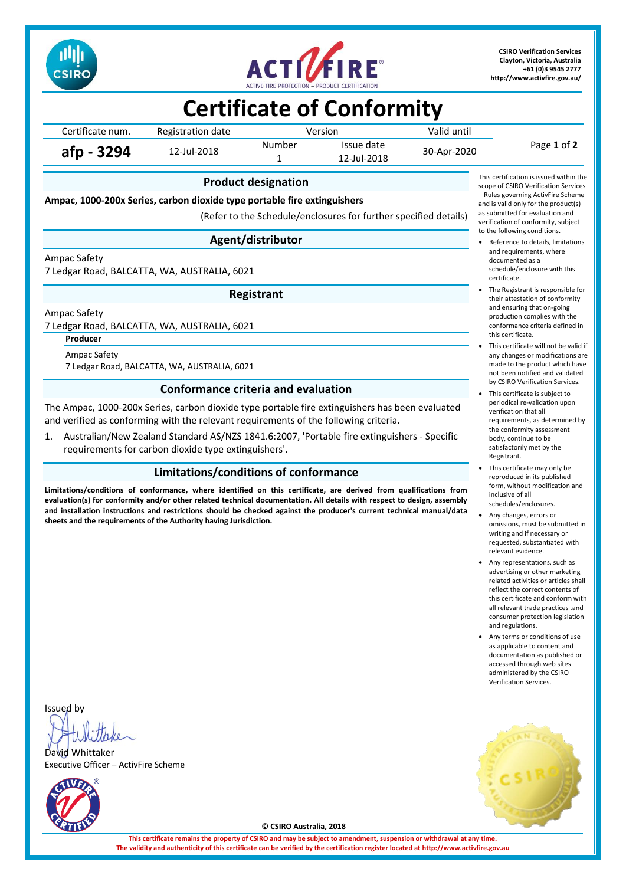



**CSIRO Verification Services Clayton, Victoria, Australia +61 (0)3 9545 2777 <http://www.activfire.gov.au/>**

## **Certificate of Conformity**

| Certificate num. | Registration date | Version |                           | Valid until |             |
|------------------|-------------------|---------|---------------------------|-------------|-------------|
| afp - 3294       | 12-Jul-2018       | Number  | Issue date<br>12-Jul-2018 | 30-Apr-2020 | Page 1 of 2 |

### **Product designation**

**Ampac, 1000-200x Series, carbon dioxide type portable fire extinguishers**

(Refer to the Schedule/enclosures for further specified details)

### **Agent/distributor**

Ampac Safety

7 Ledgar Road, BALCATTA, WA, AUSTRALIA, 6021

**Registrant**

Ampac Safety

7 Ledgar Road, BALCATTA, WA, AUSTRALIA, 6021

**Producer**

Ampac Safety 7 Ledgar Road, BALCATTA, WA, AUSTRALIA, 6021

### **Conformance criteria and evaluation**

The Ampac, 1000-200x Series, carbon dioxide type portable fire extinguishers has been evaluated and verified as conforming with the relevant requirements of the following criteria.

1. Australian/New Zealand Standard AS/NZS 1841.6:2007, 'Portable fire extinguishers - Specific requirements for carbon dioxide type extinguishers'.

### **Limitations/conditions of conformance**

**Limitations/conditions of conformance, where identified on this certificate, are derived from qualifications from evaluation(s) for conformity and/or other related technical documentation. All details with respect to design, assembly and installation instructions and restrictions should be checked against the producer's current technical manual/data sheets and the requirements of the Authority having Jurisdiction.**



- Reference to details, limitations and requirements, where documented as a schedule/enclosure with this certificate.
- The Registrant is responsible for their attestation of conformity and ensuring that on-going production complies with the conformance criteria defined in this certificate.
- This certificate will not be valid if any changes or modifications are made to the product which have not been notified and validated by CSIRO Verification Services.
- This certificate is subject to periodical re-validation upon verification that all requirements, as determined by the conformity assessment body, continue to be satisfactorily met by the Registrant.
- This certificate may only be reproduced in its published form, without modification and inclusive of all schedules/enclosures.
- Any changes, errors or omissions, must be submitted in writing and if necessary or requested, substantiated with relevant evidence.
- Any representations, such as advertising or other marketing related activities or articles shall reflect the correct contents of this certificate and conform with all relevant trade practices .and consumer protection legislation and regulations.
- Any terms or conditions of use as applicable to content and documentation as published or accessed through web sites administered by the CSIRO Verification Services.

Issued by

David Whittaker Executive Officer – ActivFire Scheme





**© CSIRO Australia, 2018**

**This certificate remains the property of CSIRO and may be subject to amendment, suspension or withdrawal at any time.** The validity and authenticity of this certificate can be verified by the certification register located at http://www.activ